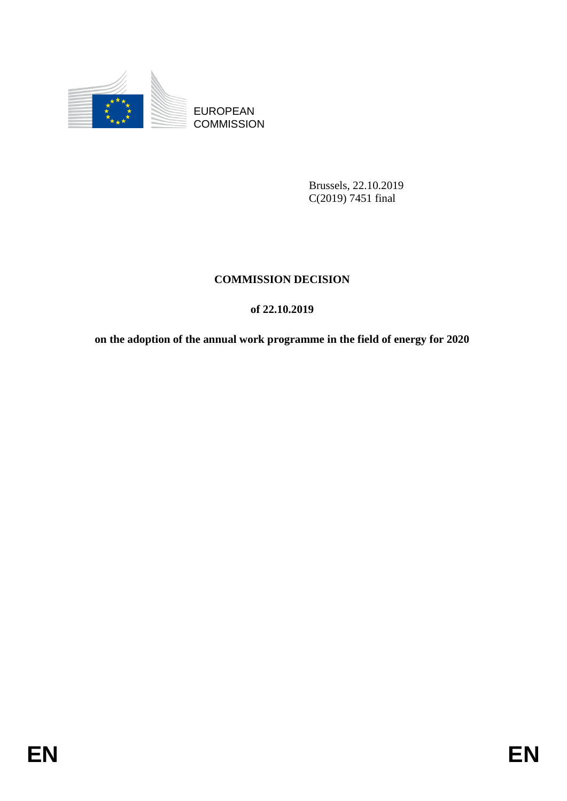

**COMMISSION** 

Brussels, 22.10.2019 C(2019) 7451 final

# **COMMISSION DECISION**

# **of 22.10.2019**

EUROPEAN<br>
EUROPEAN<br>
ENERGY COMMISSION<br>
Photosle, 22.10.2019<br>
COMMISSION DECLISION<br>
of 22.10.2019<br>
on the indeption of the annual work programme in the field of cnergy for 2020<br>
FIN **on the adoption of the annual work programme in the field of energy for 2020**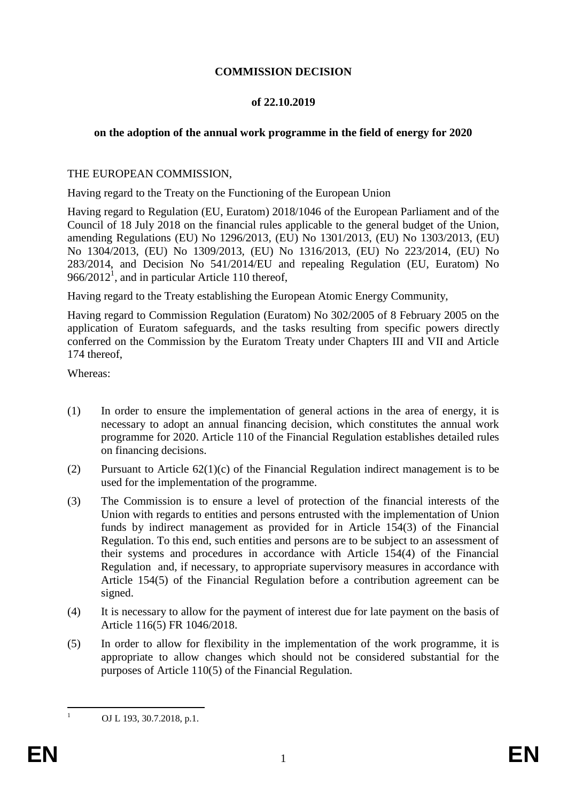## **COMMISSION DECISION**

### **of 22.10.2019**

# **on the adoption of the annual work programme in the field of energy for 2020**

### THE EUROPEAN COMMISSION,

Having regard to the Treaty on the Functioning of the European Union

Having regard to Regulation (EU, Euratom) 2018/1046 of the European Parliament and of the Council of 18 July 2018 on the financial rules applicable to the general budget of the Union, amending Regulations (EU) No 1296/2013, (EU) No 1301/2013, (EU) No 1303/2013, (EU) No 1304/2013, (EU) No 1309/2013, (EU) No 1316/2013, (EU) No 223/2014, (EU) No 283/2014, and Decision No 541/2014/EU and repealing Regulation (EU, Euratom) No  $966/2012<sup>1</sup>$ , and in particular Article 110 thereof,

Having regard to the Treaty establishing the European Atomic Energy Community,

Having regard to Commission Regulation (Euratom) No 302/2005 of 8 February 2005 on the application of Euratom safeguards, and the tasks resulting from specific powers directly conferred on the Commission by the Euratom Treaty under Chapters III and VII and Article 174 thereof,

Whereas:

- (1) In order to ensure the implementation of general actions in the area of energy, it is necessary to adopt an annual financing decision, which constitutes the annual work programme for 2020. Article 110 of the Financial Regulation establishes detailed rules on financing decisions.
- (2) Pursuant to Article  $62(1)(c)$  of the Financial Regulation indirect management is to be used for the implementation of the programme.
- (3) The Commission is to ensure a level of protection of the financial interests of the Union with regards to entities and persons entrusted with the implementation of Union funds by indirect management as provided for in Article 154(3) of the Financial Regulation. To this end, such entities and persons are to be subject to an assessment of their systems and procedures in accordance with Article 154(4) of the Financial Regulation and, if necessary, to appropriate supervisory measures in accordance with Article 154(5) of the Financial Regulation before a contribution agreement can be signed.
- (4) It is necessary to allow for the payment of interest due for late payment on the basis of Article 116(5) FR 1046/2018.
- (5) In order to allow for flexibility in the implementation of the work programme, it is appropriate to allow changes which should not be considered substantial for the purposes of Article 110(5) of the Financial Regulation.

 $\mathbf{1}$ 

OJ L 193, 30.7.2018, p.1.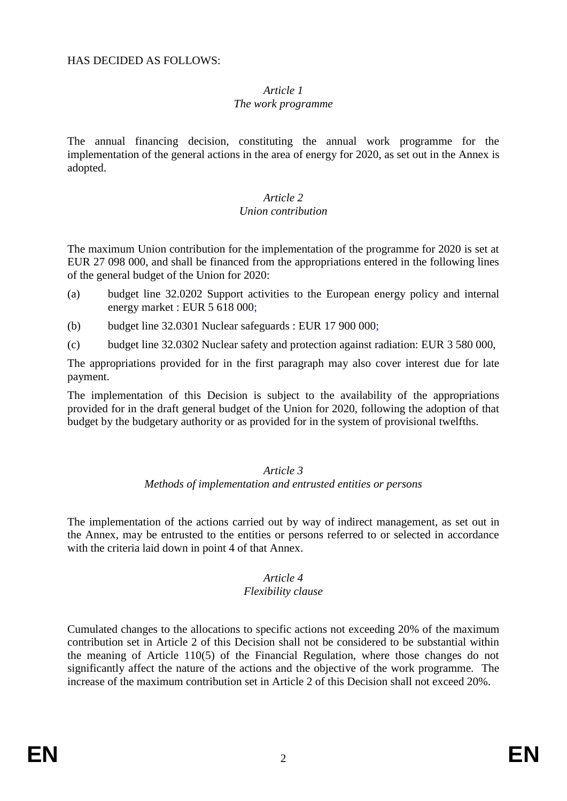# *Article 1*

#### *The work programme*

The annual financing decision, constituting the annual work programme for the implementation of the general actions in the area of energy for 2020, as set out in the Annex is adopted.

#### *Article 2 Union contribution*

The maximum Union contribution for the implementation of the programme for 2020 is set at EUR 27 098 000, and shall be financed from the appropriations entered in the following lines of the general budget of the Union for 2020:

- (a) budget line 32.0202 Support activities to the European energy policy and internal energy market : EUR 5 618 000;
- (b) budget line 32.0301 Nuclear safeguards : EUR 17 900 000;
- (c) budget line 32.0302 Nuclear safety and protection against radiation: EUR 3 580 000,

The appropriations provided for in the first paragraph may also cover interest due for late payment.

The implementation of this Decision is subject to the availability of the appropriations provided for in the draft general budget of the Union for 2020, following the adoption of that budget by the budgetary authority or as provided for in the system of provisional twelfths.

#### *Article 3*

#### *Methods of implementation and entrusted entities or persons*

The implementation of the actions carried out by way of indirect management, as set out in the Annex, may be entrusted to the entities or persons referred to or selected in accordance with the criteria laid down in point 4 of that Annex.

## *Article 4*

#### *Flexibility clause*

Cumulated changes to the allocations to specific actions not exceeding 20% of the maximum contribution set in Article 2 of this Decision shall not be considered to be substantial within the meaning of Article 110(5) of the Financial Regulation, where those changes do not significantly affect the nature of the actions and the objective of the work programme. The increase of the maximum contribution set in Article 2 of this Decision shall not exceed 20%.